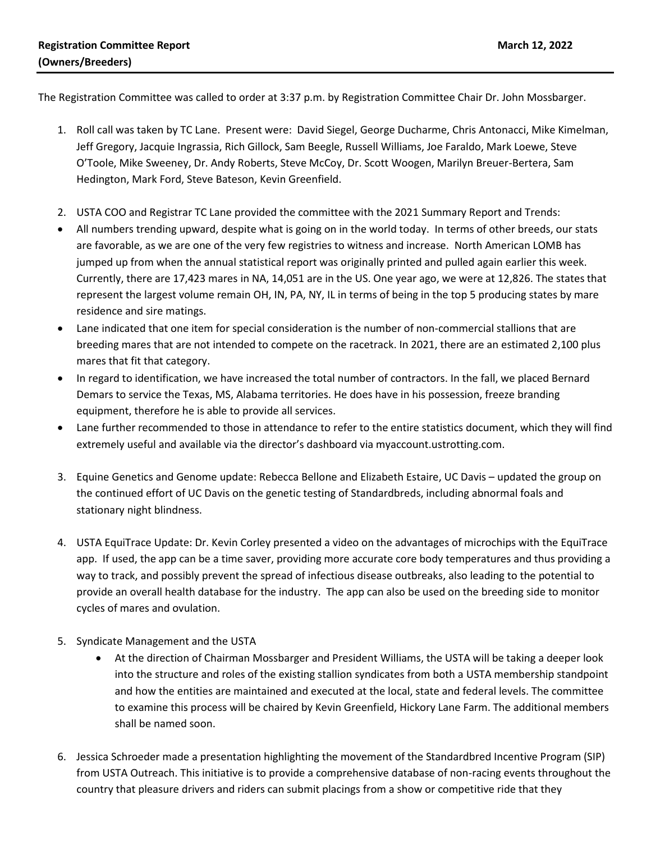The Registration Committee was called to order at 3:37 p.m. by Registration Committee Chair Dr. John Mossbarger.

- 1. Roll call was taken by TC Lane. Present were: David Siegel, George Ducharme, Chris Antonacci, Mike Kimelman, Jeff Gregory, Jacquie Ingrassia, Rich Gillock, Sam Beegle, Russell Williams, Joe Faraldo, Mark Loewe, Steve O'Toole, Mike Sweeney, Dr. Andy Roberts, Steve McCoy, Dr. Scott Woogen, Marilyn Breuer-Bertera, Sam Hedington, Mark Ford, Steve Bateson, Kevin Greenfield.
- 2. USTA COO and Registrar TC Lane provided the committee with the 2021 Summary Report and Trends:
- All numbers trending upward, despite what is going on in the world today. In terms of other breeds, our stats are favorable, as we are one of the very few registries to witness and increase. North American LOMB has jumped up from when the annual statistical report was originally printed and pulled again earlier this week. Currently, there are 17,423 mares in NA, 14,051 are in the US. One year ago, we were at 12,826. The states that represent the largest volume remain OH, IN, PA, NY, IL in terms of being in the top 5 producing states by mare residence and sire matings.
- Lane indicated that one item for special consideration is the number of non-commercial stallions that are breeding mares that are not intended to compete on the racetrack. In 2021, there are an estimated 2,100 plus mares that fit that category.
- In regard to identification, we have increased the total number of contractors. In the fall, we placed Bernard Demars to service the Texas, MS, Alabama territories. He does have in his possession, freeze branding equipment, therefore he is able to provide all services.
- Lane further recommended to those in attendance to refer to the entire statistics document, which they will find extremely useful and available via the director's dashboard via myaccount.ustrotting.com.
- 3. Equine Genetics and Genome update: Rebecca Bellone and Elizabeth Estaire, UC Davis updated the group on the continued effort of UC Davis on the genetic testing of Standardbreds, including abnormal foals and stationary night blindness.
- 4. USTA EquiTrace Update: Dr. Kevin Corley presented a video on the advantages of microchips with the EquiTrace app. If used, the app can be a time saver, providing more accurate core body temperatures and thus providing a way to track, and possibly prevent the spread of infectious disease outbreaks, also leading to the potential to provide an overall health database for the industry. The app can also be used on the breeding side to monitor cycles of mares and ovulation.
- 5. Syndicate Management and the USTA
	- At the direction of Chairman Mossbarger and President Williams, the USTA will be taking a deeper look into the structure and roles of the existing stallion syndicates from both a USTA membership standpoint and how the entities are maintained and executed at the local, state and federal levels. The committee to examine this process will be chaired by Kevin Greenfield, Hickory Lane Farm. The additional members shall be named soon.
- 6. Jessica Schroeder made a presentation highlighting the movement of the Standardbred Incentive Program (SIP) from USTA Outreach. This initiative is to provide a comprehensive database of non-racing events throughout the country that pleasure drivers and riders can submit placings from a show or competitive ride that they